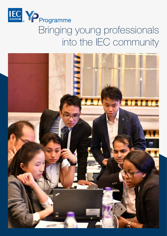

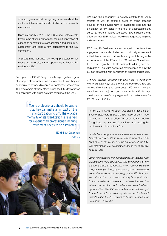Join a programme that puts young professionals at the centre of international standardization and conformity assessment.

Since its launch in 2010, the IEC Young Professionals Programme offers a platform for the next generation of experts to contribute to standardization and conformity assessment and bring a new perspective to the IEC community.

A programme designed by young professionals for young professionals, it is an opportunity to impact the work of the IEC.

Each year, the IEC YP Programme brings together a group of young professionals to learn more about how they can contribute to standardization and conformity assessment. The programme officially starts during the IEC YP workshop and continues with online activities throughout the year.

> Young professionals should be aware that they can make an impact on the standardization forum. The old-age mentality of standardization is reserved for experienced professionals nearing retirement needs to be eliminated.

> > — IEC YP Beer Opatsuwan, Australia



YPs have the opportunity to actively contribute to yearly projects as well as attend a series of online sessions focused on the development of leadership skills and the exploration of key topics in the field of electrotechnology led by IEC experts. Topics addressed have included energy efficiency, 5G EMF safety, worldwide regulatory regimes and smart cities.

IEC Young Professionals are encouraged to continue their engagement in standardization and conformity assessment at the international and national levels by contributing to the technical work of the IEC and the IEC National Committees. IEC YPs are regularly invited to participate in IEC groups and dedicated YP activities as well as provide input on how the IEC can attract the next generation of experts and leaders.

"*I would definitely recommend employers to send their YPs to this workshop. It is a great platform where YPs can express their ideas and learn about IEC work. I will use what I learnt to help our customers which will ultimately contribute to increasing my organization's market share.*" *–*  IEC YP Juan Li, China

In April 2018, Stina Wallström was elected President of Svensk Elstandard (SEK), the IEC National Committee of Sweden. In this position, Wallström is responsible for guiding the National Committee and leading its involvement in international fora.

"*Aside from being a wonderful experience where new friendships and contacts were formed with other YPs from all over the world, I learned a lot about the IEC. This information is of great importance to me in my role as SEK Chair.*

*When I participated in the programme, my already high expectations were surpassed. The programme is well thought out and wide-ranging. When you complete the programme, you have, as expected, a firm knowledge about the world and functioning of the IEC. But over and above that, you also get ample opportunities to form a network of peers from all over the world to whom you can turn to for advice and new business opportunities. The IEC also makes sure that you get to meet and interact with experienced and influential experts within the IEC system to further broaden your professional network.*"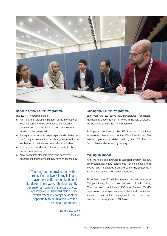

# Benefits of the IEC YP Programme

The IEC YP Programme offers

- An important networking platform at the international level. As part of the IEC community, participants cultivate long-term relationships with other experts working in the same field.
- A unique opportunity to help shape standardization and conformity assessment work. It is a gateway for further involvement in national and international activities.
- **Exposure to new ideas and the opportunity to share** unique perspectives.
- New insight into standardization and conformity assessment and the impact they have on technology.

The programme provided me with a professional network in my field and gave me a better understanding of standards. In my work, I think differently because I am aware of standards. Now I am involved in standardization work which offers my company another opportunity to be involved with the National Committee.

> — IEC YP Jacob Lynge, **Denmark**

### Joining the IEC YP Programme

Each year, the IEC seeks new participants – engineers, managers and technicians – involved in the field of electrotechnology to join the IEC YP Programme.

Participants are selected by IEC National Committees to represent their country at the IEC YP workshop. The selection process is determined by the IEC National Committees and may vary by country.

### Making an impact

With the tools and knowledge acquired through the IEC YP Programme, many participants have continued their involvement in standardization and conformity assessment work at the national and international levels.

Since 2010, the IEC YP Programme has welcomed over 600 participants from all over the world of which nearly 50% continue to participate in IEC work. Several IEC YPs have taken on management roles in technical committees, served on various IEC management boards and been awarded the prestigious IEC 1906 Award.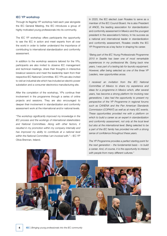### IEC YP workshop

Through its flagship YP workshop held each year alongside the IEC General Meeting, the IEC introduces a group of highly motivated young professionals into its community.

The IEC YP workshop offers participants the opportunity to see the IEC in action and meet experts from all over the world in order to better understand the importance of contributing to international standardization and conformity assessment.

In addition to the workshop sessions tailored for the YPs, participants are also invited to observe IEC management and technical meetings, share their thoughts in interactive breakout sessions and meet the leadership team from their respective IEC National Committee. IEC YPs are also invited to visit an industrial site which has included an electric power substation and a consumer electronics manufacturing site.

After the completion of the workshop, YPs continue their involvement in the programme through a series of online projects and sessions. They are also encouraged to deepen their involvement in standardization and conformity assessment work at the international and/or national levels.

"*The workshop significantly improved my knowledge in the IEC process and the workings of international stakeholders and National Committees. Along with other factors, it resulted in my promotion within my company internally and has improved my ability to contribute at a national level*  within the National Committee I am involved with." - IEC YP Olivia Brennan, Ireland.

In 2020, the IEC elected Juan Rosales to serve as a member of the IEC Council Board. He is also President of ANCE, the leading association for standardization and conformity assessment in Mexico and the youngest president in the association's history. In his success as a national and international leader in standardization and conformity assessment, Rosales credits the IEC YP Programme as a key factor in shaping his career.

"*Being part of the IEC Young Professionals Programme 2010 in Seattle has been one of most remarkable experiences in my professional life. Going back nine years, I was part of a testing lab for laundry equipment. However, after being selected as one of the three YP Leaders, new opportunities arose.*

*I received an invitation from the IEC National Committee of Mexico to share my experience and ideas for a programme in Mexico which, after several years, has become a strong platform for involving new generations. I also had the opportunity to present my perspective of the YP Programme in regional forums such as CANENA and the Pan American Standards Commission (COPANT) as well as at many IEC events. These opportunities provided me with a platform on which to build a career as an expert in standardization and conformity assessment, not only at the local level but also at the international level. Being selected to be a part of the IEC family has provided me with a strong sense of confidence throughout these years.*

*The YP Programme provides a perfect starting point for the next generation – the fundamental basis – to build a career. And, of course, it is the opportunity to interact with people from many different cultures.*"

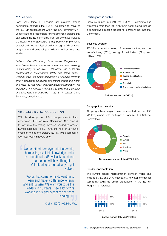# YP Leaders

Each year, three YP Leaders are selected among participants attending the IEC YP workshop to serve as the IEC YP ambassadors within the IEC community. YP Leaders are also responsible for implementing projects that can benefit the IEC community. Past projects have included the design of the *Standard in a day Bootcamp*, promoting cultural and geographical diversity through a YP outreach programme and developing a collection of business case studies.

"*Without the IEC Young Professionals Programme, I would never have come to my current (and ever evolving) understanding of the role of standards and conformity assessment in sustainability, safety, and global trade. I wouldn't have the global perspective or insights provided by my colleagues on politics and trends around the world, and while I always knew that international collaboration was important, I now realize it is integral to solving any complex and wide-reaching challenge.*" *–* 2018 YP Leader, Carrie Schmaus, United States.

# YP contribution to IEC work in 5G

With the development of 5G two years earlier than anticipated, IEC Technical Committee 106 needed to fast-track the testing methods needed to assess human exposure to 5G. With the help of a young engineer to lead the project, IEC TC 106 published a technical report in record time.

We benefited from dynamic leadership, harnessing available knowledge and a can-do attitude. YPs will ask questions that no one will have thought of. Volunteering is a great way to get involved.

Words that come to mind: wanting to learn and make a difference, energy and enthusiasm. We want you to be the leaders in 10 years. I see a lot of YPs working in 5G and expect to see them leading 6G.

— Chair of IEC TC 106, Mike Wood

### Participants' profile

Since its launch in 2010, the IEC YP Programme has welcomed more than 600 high-flyers hand-picked through a competitive selection process to represent their National Committee .

#### Business sectors

IEC YPs represent a variety of business sectors, such as manufacturing (25%), testing & certification (22%) and utilities (16%).





### Geographical diversity

All geographical regions are represented in the IEC YP Programme with participants from 52 IEC National Committees.



Geographical representation (2010-2019)

### Gender representation

The current gender representation between males and females is 76% and 24% respectively. However, the gender gap is narrowing as female participation in the IEC YP Programme increases.



Gender representation (2010-2019)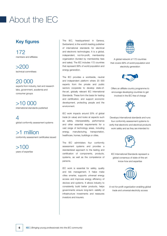# About the IEC

# Key figures

172 members and affiliates

>200 technical committees

# 20 000

experts from industry, test and research labs, government, academia and consumer groups

>10 000 international standards published

 $\varDelta$ global conformity assessment systems

>1 million conformity assessment certificates issued

>100 years of expertise The IEC, headquartered in Geneva, Switzerland, is the world's leading publisher of international standards for electrical and electronic technologies. It is a global, independent, not-for-profit, membership organization (funded by membership fees and sales). The IEC includes 172 countries that represent 99% of world population and energy generation.

The IEC provides a worldwide, neutral and independent platform where 20 000 experts from the private and public sectors cooperate to develop state-ofthe-art, globally relevant IEC International Standards. These form the basis for testing and certification, and support economic development, protecting people and the environment.

IEC work impacts around 20% of global trade (in value) and looks at aspects such as safety, interoperability, performance and other essential requirements for a vast range of technology areas, including energy, manufacturing, transportation, healthcare, homes, buildings or cities.

The IEC administers four conformity assessment systems and provides a standardized approach to the testing and certification of components, products, systems, as well as the competence of persons.

IEC work is essential for safety, quality and risk management. It helps make cities smarter, supports universal energy access and improves energy efficiency of devices and systems. It allows industry to consistently build better products, helps governments ensure long-term viability of infrastructure investments and reassures investors and insurers.



A global network of 172 countries that covers 99% of world population and electricity generation



Offers an affiliate country programme to encourage developing countries to get involved in the IEC free of charge



Develops international standards and runs four conformity assessment systems to verify that electronic and electrical products work safely and as they are intended to



IEC International Standards represent a global consensus of state-of-the-art know-how and expertise



A not-for-profit organization enabling global trade and universal electricity access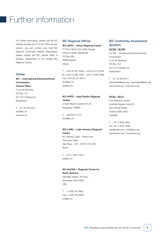# Further information

For further information, please visit the IEC website at www.iec.ch. In the "Who we are" section, you can contact your local IEC National Committee directly. Alternatively, please contact the IEC Central Office in Geneva, Switzerland or the nearest IEC Regional Centre.

### Global

# IEC − International Electrotechnical Commission Central Office 3 rue de Varembé PO Box 131

CH-1211 Geneva 20 Switzerland

T +41 22 919 0211 info@iec.ch www.iec.ch

## IEC Regional Offices

### IEC-AFRC − Africa Regional Centre

7th Floor, Block One, Eden Square Chiromo Road, Westlands PO Box 856 00606 Nairobi Kenya

T +254 20 367 3000 / +254 20 375 2244 M +254 73 389 7000 / +254 70 493 7806 Fax +254 20 374 0913 eod@iec.ch fya@iec.ch

IEC-APRC − Asia-Pacific Regional Centre 2 Bukit Merah Central #15-02

Singapore 159835

T +65 6377 5173 dch@iec.ch

# IEC-LARC − Latin America Regional **Centre**

Av. Paulista, 2300 – Pilotis Floor Cerqueira César São Paulo – SP – CEP 01310-300 Brazil

T +55 11 2847 4672 as@iec.ch

IEC-ReCNA − Regional Centre for North America

446 Main Street, 16th Floor Worcester, MA 01608 USA

T +1 508 755 5663 Fax +1 508 755 5669 tro@iec.ch

# IEC Conformity Assessment **Systems**

#### IECEE / IECRE

c/o IEC − International Electrotechnical Commission 3 rue de Varembé PO Box 131 CH-1211 Geneva 20 Switzerland

T +41 22 919 0211 secretariat@iecee.org / secretariat@iecre.org www.iecee.org / www.iecre.org

# IECEx / IECQ

The Executive Centre Australia Square, Level 33 264 George Street Sydney NSW 2000 Australia

T +61 2 4628 4690 Fax +61 2 4627 5285 info@iecex.com / info@iecq.org www.iecex.com / www.iecq.org